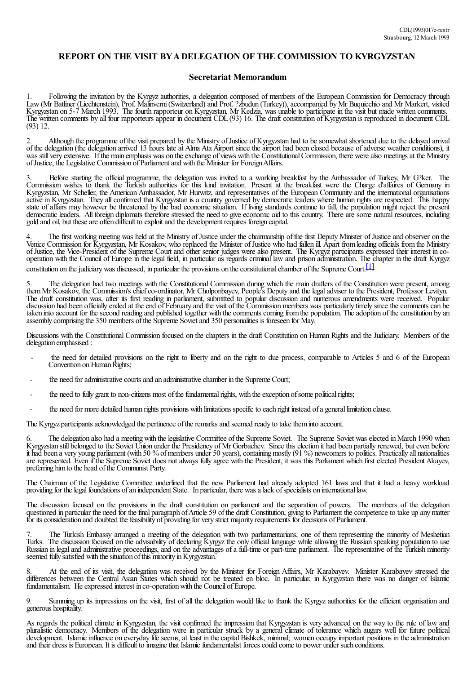## **REPORT ON THE VISIT BYADELEGATION OF THE COMMISSION TO KYRGYZSTAN**

## **Secretariat Memorandum**

1. Following the invitation by the Kyrgyz authorities, a delegation composed of members of the European Commission for Democracy through Law (Mr Batliner (Liechtenstein), Prof. Malinverni(Switzerland)and Prof. ?zbudun (Turkey)), accompanied byMr Buquicchio and Mr Markert, visited Kyrgyzstan on 5-7 March 1993. The fourth rapporteur on Kyrgyzstan, Mr Kedzia, was unable to participate in the visit but made written comments. The written comments by all four rapporteurs appear in document CDL(93) 16. The draft constitution of Kyrgyzstan is reproduced in document CDL (93) 12.

Although the programme of the visit prepared by the Ministry of Justice of Kyrgyzstan had to be somewhat shortened due to the delayed arrival of the delegation (the delegation arrived 13 hours late atAlma Ata Airport since the airport had been closed because ofadverse weather conditions), it was still very extensive. If the main emphasis was on the exchange of views with the Constitutional Commission, there were also meetings at the Ministry ofJustice, the Legislative Commission ofParliamentand with the Minister for ForeignAffairs.

3. Before starting the official programme, the delegation was invited to a working breakfast by the Ambassador of Turkey, Mr G?ker. The Commission wishes to thank the Turkish authorities for this kind invitation. Present at the breakfast were the Charge d'affaires of Germany in Kyrgyzstan, Mr Scheller, the American Ambassador, Mr Hurwitz, and representatives of the European Community and the international organisations active in Kyrgyzstan. They allconfirmed that Kyrgyzstan is a country governed by democratic leaders where human rights are respected. This happy state of affairs may however be threatened by the bad economic situation. If living standards continue to fall, the population might reject the present democratic leaders. All foreign diplomats therefore stressed the need to give economic aid to this country. There are some natural resources, including gold and oil, but these are often difficult to exploit and the development requires foreign capital.

The first working meeting was held at the Ministry of Justice under the chairmanship of the first Deputy Minister of Justice and observer on the Venice Commission for Kyrgyzstan, Mr Kosakov, who replaced the Minister ofJustice who had fallen ill. Apart fromleading officials fromthe Ministry of Justice, the Vice-President of the Supreme Court and other senior judges were also present. The Kyrgyz participants expressed their interest in cooperation with the Council of Europe in the legal field, in particular as regards criminal law and prison administration. The chapter in the draft Kyrgyz constitution on the judiciary was discussed, in particular the provisions on the constitutional chamber of the Supreme Court.  $[1]$ 

5. The delegation had two meetings with the Constitutional Commission during which the main drafters of the Constitution were present, among them Mr Kosakov, the Commission's chief co-ordinator, Mr Cholponbayev, People's Deputy and the legal adviser to the President, Professor Levityn. The draft constitution was, after its first reading in parliament, submitted to popular discussion and numerous amendments were received. Popular discussion had been officially ended at the end of February and the visit of the Commission members was particularly timely since the comments can be taken into account for the second reading and published together with the comments coming fromthe population. The adoption ofthe constitution by an assembly comprising the 350 members ofthe Supreme Sovietand 350 personalities is foreseen for May.

Discussions with the Constitutional Commission focused on the chapters in the draft Constitution on Human Rights and the Judiciary. Members of the delegation emphasised :

- the need for detailed provisions on the right to liberty and on the right to due process, comparable to Articles 5 and 6 of the European Convention on Human Rights:
- the need for administrative courts and an administrative chamber in the Supreme Court;
- the need to fully grant to non-citizens most of the fundamental rights, with the exception of some political rights;
- the need for more detailed human rights provisions with limitations specific to each right instead of a general limitation clause.

The Kyrgyz participants acknowledged the pertinence of the remarks and seemed ready to take them into account.

6. The delegation also had a meeting with the legislative Committee of the Supreme Soviet. The Supreme Soviet was elected in March 1990 when Kyrgyzstan still belonged to the Soviet Union under the Presidency ofMr Gorbachev. Since this election it had been partially renewed, but even before it had been a very young parliament (with 50 % of members under 50 years), containing mostly (91 %) newcomers to politics. Practically all nationalities are represented. Even if the Supreme Soviet does not always fully agree with the President, it was this Parliament which first elected President Akayev, preferring himto the head ofthe Communist Party.

The Chairman of the Legislative Committee underlined that the new Parliament had already adopted 161 laws and that it had a heavy workload providing for the legal foundations of an independent State. In particular, there was a lack of specialists on international law.

The discussion focused on the provisions in the draft constitution on parliament and the separation of powers. The members of the delegation questioned in particular the need for the final paragraph of Article 59 of the draft Constitution, giving to Parliament the competence to take up any matter for its consideration and doubted the feasibility of providing for very strict majority requirements for decisions of Parliament.

7. The Turkish Embassy arranged a meeting of the delegation with two parliamentarians, one of them representing the minority of Meshetian Turks. The discussion focused on the advisability of declaring Kyrgyz the only official language while allowing the Russian speaking population to use Russian in legal and administrative proceedings, and on the advantages of a full-time or part-time parliament. The representative of the Turkish minority seemed fully satisfied with the situation of this minority in Kyrgyzstan.

8. At the end of its visit, the delegation was received by the Minister for Foreign Affairs, Mr Karabayev. Minister Karabayev stressed the differences between the Central Asian States which should not be treated en bloc. In particular, in Kyrgyzstan there was no danger of Islamic fundamentalism. He expressed interest in co-operation with the Council of Europe.

Summing up its impressions on the visit, first of all the delegation would like to thank the Kyrgyz authorities for the efficient organisation and generous hospitality.

As regards the political climate in Kyrgyzstan, the visit confirmed the impression that Kyrgyzstan is very advanced on the way to the rule of law and pluralistic democracy. Members of the delegation were in particular struck by a general climate of tolerance which augurs well for future political development. Islamic influence on everyday life seems, at least in the capital Bishkek, minimal; women occupy important positions in the administration and their dress is European. It is difficult to imagine that Islamic fundamentalist forces could come to power under such conditions.